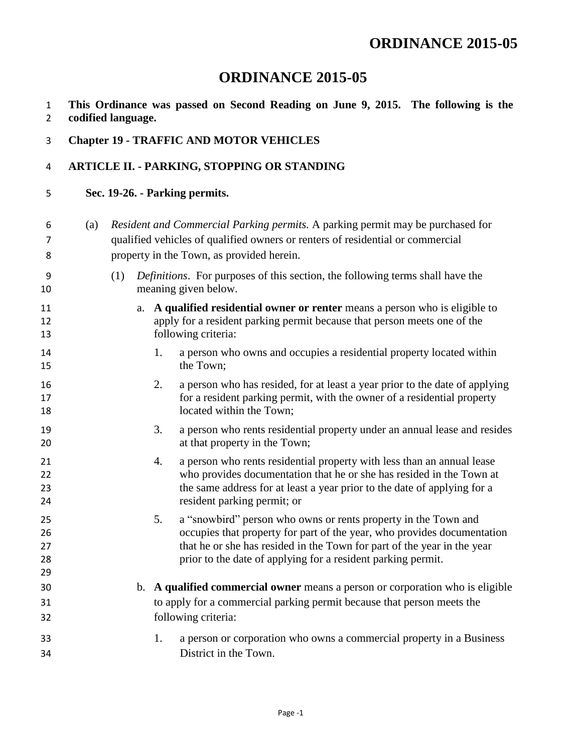## **ORDINANCE 2015-05**

- **This Ordinance was passed on Second Reading on June 9, 2015. The following is the codified language.**
- **Chapter 19 - TRAFFIC AND MOTOR VEHICLES**

## **ARTICLE II. - PARKING, STOPPING OR STANDING**

**Sec. 19-26. - Parking permits.**

| 6<br>7<br>8                | (a) |                                                                                                                     |    |    | Resident and Commercial Parking permits. A parking permit may be purchased for<br>qualified vehicles of qualified owners or renters of residential or commercial<br>property in the Town, as provided herein.                                                                        |  |  |
|----------------------------|-----|---------------------------------------------------------------------------------------------------------------------|----|----|--------------------------------------------------------------------------------------------------------------------------------------------------------------------------------------------------------------------------------------------------------------------------------------|--|--|
| 9<br>10                    |     | <i>Definitions.</i> For purposes of this section, the following terms shall have the<br>(1)<br>meaning given below. |    |    |                                                                                                                                                                                                                                                                                      |  |  |
| 11<br>12<br>13             |     |                                                                                                                     | a. |    | A qualified residential owner or renter means a person who is eligible to<br>apply for a resident parking permit because that person meets one of the<br>following criteria:                                                                                                         |  |  |
| 14<br>15                   |     |                                                                                                                     |    | 1. | a person who owns and occupies a residential property located within<br>the Town;                                                                                                                                                                                                    |  |  |
| 16<br>17<br>18             |     |                                                                                                                     |    | 2. | a person who has resided, for at least a year prior to the date of applying<br>for a resident parking permit, with the owner of a residential property<br>located within the Town;                                                                                                   |  |  |
| 19<br>20                   |     |                                                                                                                     |    | 3. | a person who rents residential property under an annual lease and resides<br>at that property in the Town;                                                                                                                                                                           |  |  |
| 21<br>22<br>23<br>24       |     |                                                                                                                     |    | 4. | a person who rents residential property with less than an annual lease<br>who provides documentation that he or she has resided in the Town at<br>the same address for at least a year prior to the date of applying for a<br>resident parking permit; or                            |  |  |
| 25<br>26<br>27<br>28<br>29 |     |                                                                                                                     |    | 5. | a "snowbird" person who owns or rents property in the Town and<br>occupies that property for part of the year, who provides documentation<br>that he or she has resided in the Town for part of the year in the year<br>prior to the date of applying for a resident parking permit. |  |  |
| 30                         |     |                                                                                                                     |    |    | b. A qualified commercial owner means a person or corporation who is eligible                                                                                                                                                                                                        |  |  |
| 31                         |     |                                                                                                                     |    |    | to apply for a commercial parking permit because that person meets the                                                                                                                                                                                                               |  |  |
| 32                         |     |                                                                                                                     |    |    | following criteria:                                                                                                                                                                                                                                                                  |  |  |
| 33                         |     |                                                                                                                     |    | 1. | a person or corporation who owns a commercial property in a Business                                                                                                                                                                                                                 |  |  |
| 34                         |     |                                                                                                                     |    |    | District in the Town.                                                                                                                                                                                                                                                                |  |  |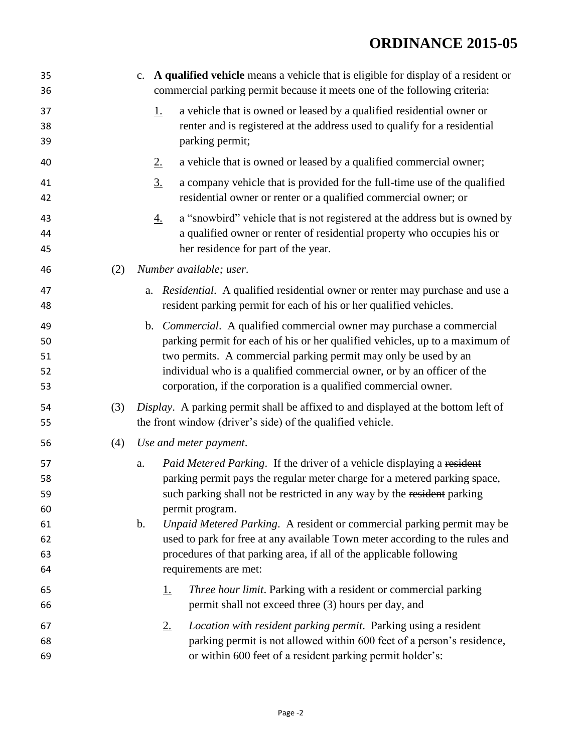## **ORDINANCE 2015-05**

| 35<br>36                                     |     | c. A qualified vehicle means a vehicle that is eligible for display of a resident or<br>commercial parking permit because it meets one of the following criteria:                                                                                                                                                                                                                                                                                                                                                       |
|----------------------------------------------|-----|-------------------------------------------------------------------------------------------------------------------------------------------------------------------------------------------------------------------------------------------------------------------------------------------------------------------------------------------------------------------------------------------------------------------------------------------------------------------------------------------------------------------------|
| 37<br>38<br>39                               |     | a vehicle that is owned or leased by a qualified residential owner or<br><u>1.</u><br>renter and is registered at the address used to qualify for a residential<br>parking permit;                                                                                                                                                                                                                                                                                                                                      |
| 40                                           |     | a vehicle that is owned or leased by a qualified commercial owner;<br>2.                                                                                                                                                                                                                                                                                                                                                                                                                                                |
| 41<br>42                                     |     | 3.<br>a company vehicle that is provided for the full-time use of the qualified<br>residential owner or renter or a qualified commercial owner; or                                                                                                                                                                                                                                                                                                                                                                      |
| 43<br>44<br>45                               |     | a "snowbird" vehicle that is not registered at the address but is owned by<br><u>4.</u><br>a qualified owner or renter of residential property who occupies his or<br>her residence for part of the year.                                                                                                                                                                                                                                                                                                               |
| 46                                           | (2) | Number available; user.                                                                                                                                                                                                                                                                                                                                                                                                                                                                                                 |
| 47<br>48                                     |     | a. Residential. A qualified residential owner or renter may purchase and use a<br>resident parking permit for each of his or her qualified vehicles.                                                                                                                                                                                                                                                                                                                                                                    |
| 49<br>50<br>51<br>52<br>53                   |     | b. <i>Commercial</i> . A qualified commercial owner may purchase a commercial<br>parking permit for each of his or her qualified vehicles, up to a maximum of<br>two permits. A commercial parking permit may only be used by an<br>individual who is a qualified commercial owner, or by an officer of the<br>corporation, if the corporation is a qualified commercial owner.                                                                                                                                         |
| 54<br>55                                     | (3) | Display. A parking permit shall be affixed to and displayed at the bottom left of<br>the front window (driver's side) of the qualified vehicle.                                                                                                                                                                                                                                                                                                                                                                         |
| 56                                           | (4) | Use and meter payment.                                                                                                                                                                                                                                                                                                                                                                                                                                                                                                  |
| 57<br>58<br>59<br>60<br>61<br>62<br>63<br>64 |     | Paid Metered Parking. If the driver of a vehicle displaying a resident<br>a.<br>parking permit pays the regular meter charge for a metered parking space,<br>such parking shall not be restricted in any way by the resident parking<br>permit program.<br>b.<br>Unpaid Metered Parking. A resident or commercial parking permit may be<br>used to park for free at any available Town meter according to the rules and<br>procedures of that parking area, if all of the applicable following<br>requirements are met: |
| 65<br>66                                     |     | Three hour limit. Parking with a resident or commercial parking<br><u>1.</u><br>permit shall not exceed three (3) hours per day, and                                                                                                                                                                                                                                                                                                                                                                                    |
| 67<br>68<br>69                               |     | Location with resident parking permit. Parking using a resident<br>$2_{\cdot}$<br>parking permit is not allowed within 600 feet of a person's residence,<br>or within 600 feet of a resident parking permit holder's:                                                                                                                                                                                                                                                                                                   |